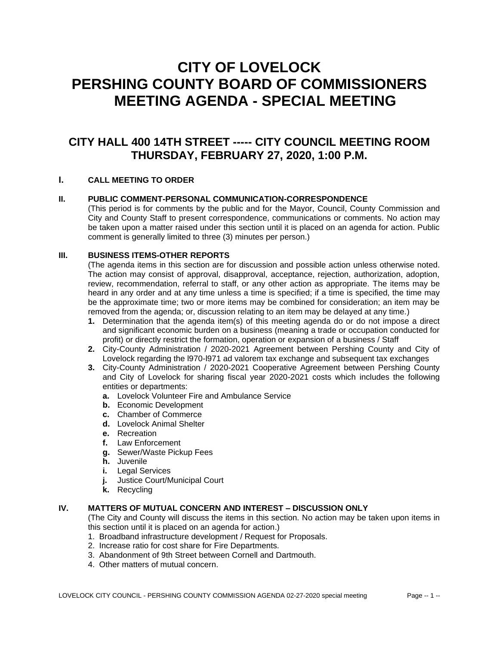# **CITY OF LOVELOCK PERSHING COUNTY BOARD OF COMMISSIONERS MEETING AGENDA - SPECIAL MEETING**

# **CITY HALL 400 14TH STREET ----- CITY COUNCIL MEETING ROOM THURSDAY, FEBRUARY 27, 2020, 1:00 P.M.**

## **I. CALL MEETING TO ORDER**

#### **II. PUBLIC COMMENT-PERSONAL COMMUNICATION-CORRESPONDENCE**

(This period is for comments by the public and for the Mayor, Council, County Commission and City and County Staff to present correspondence, communications or comments. No action may be taken upon a matter raised under this section until it is placed on an agenda for action. Public comment is generally limited to three (3) minutes per person.)

#### **III. BUSINESS ITEMS-OTHER REPORTS**

(The agenda items in this section are for discussion and possible action unless otherwise noted. The action may consist of approval, disapproval, acceptance, rejection, authorization, adoption, review, recommendation, referral to staff, or any other action as appropriate. The items may be heard in any order and at any time unless a time is specified; if a time is specified, the time may be the approximate time; two or more items may be combined for consideration; an item may be removed from the agenda; or, discussion relating to an item may be delayed at any time.)

- **1.** Determination that the agenda item(s) of this meeting agenda do or do not impose a direct and significant economic burden on a business (meaning a trade or occupation conducted for profit) or directly restrict the formation, operation or expansion of a business / Staff
- **2.** City-County Administration / 2020-2021 Agreement between Pershing County and City of Lovelock regarding the l970-l971 ad valorem tax exchange and subsequent tax exchanges
- **3.** City-County Administration / 2020-2021 Cooperative Agreement between Pershing County and City of Lovelock for sharing fiscal year 2020-2021 costs which includes the following entities or departments:
	- **a.** Lovelock Volunteer Fire and Ambulance Service
	- **b.** Economic Development
	- **c.** Chamber of Commerce
	- **d.** Lovelock Animal Shelter
	- **e.** Recreation
	- **f.** Law Enforcement
	- **g.** Sewer/Waste Pickup Fees
	- **h.** Juvenile
	- **i.** Legal Services
	- **j.** Justice Court/Municipal Court
	- **k.** Recycling

### **IV. MATTERS OF MUTUAL CONCERN AND INTEREST – DISCUSSION ONLY**

(The City and County will discuss the items in this section. No action may be taken upon items in this section until it is placed on an agenda for action.)

- 1. Broadband infrastructure development / Request for Proposals.
- 2. Increase ratio for cost share for Fire Departments.
- 3. Abandonment of 9th Street between Cornell and Dartmouth.
- 4. Other matters of mutual concern.